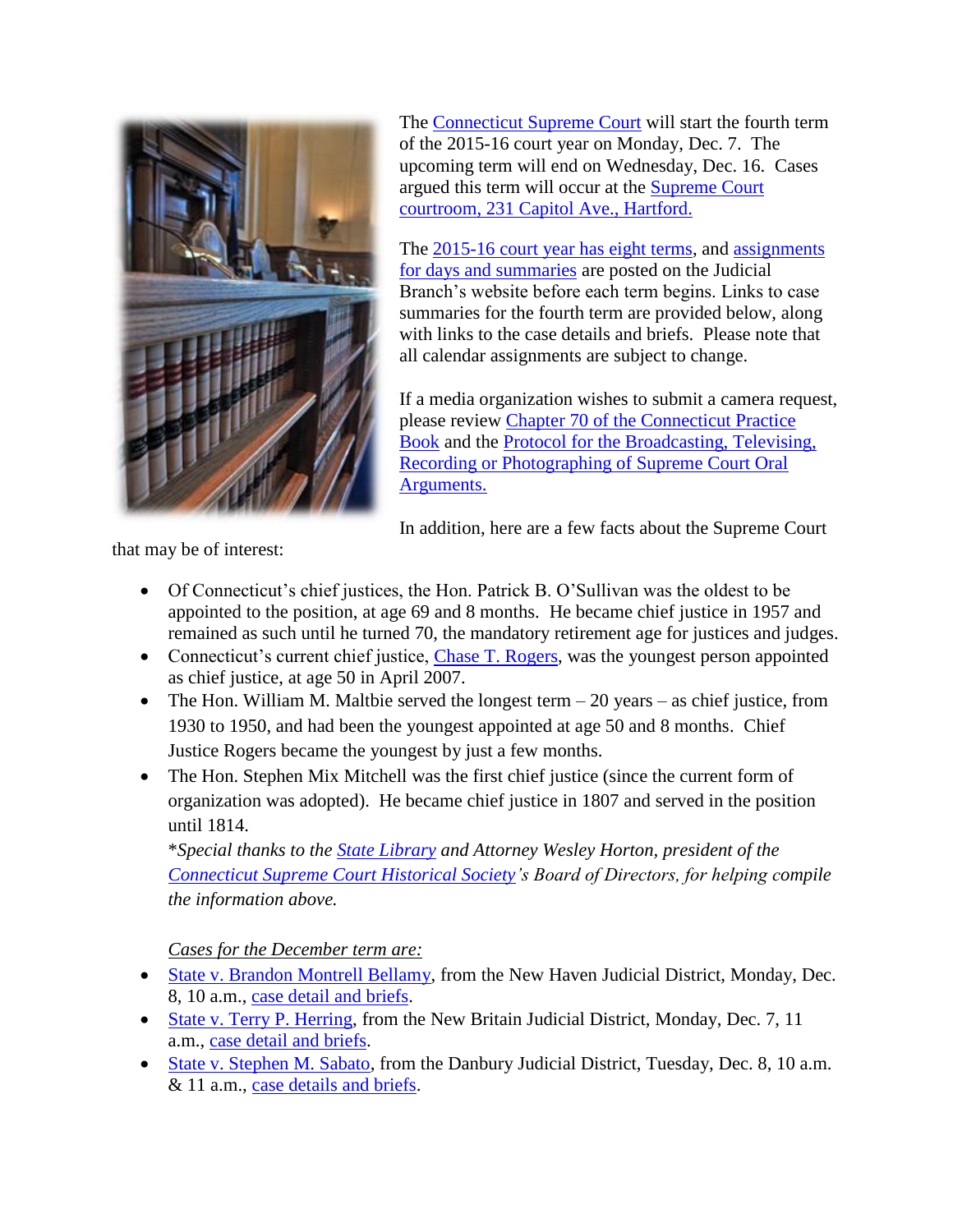

The [Connecticut Supreme Court](http://www.jud.ct.gov/external/supapp/default.htm) will start the fourth term of the 2015-16 court year on Monday, Dec. 7. The upcoming term will end on Wednesday, Dec. 16. Cases argued this term will occur at the [Supreme Court](http://www.jud.ct.gov/directory/directory/directions/supremecourt.htm)  [courtroom, 231 Capitol Ave., Hartford.](http://www.jud.ct.gov/directory/directory/directions/supremecourt.htm)

The [2015-16 court year has eight terms,](http://www.jud.ct.gov/external/supapp/CourtTermSup.htm) and assignments [for days and summaries](http://www.jud.ct.gov/external/supapp/sup_assign.htm) are posted on the Judicial Branch's website before each term begins. Links to case summaries for the fourth term are provided below, along with links to the case details and briefs. Please note that all calendar assignments are subject to change.

If a media organization wishes to submit a camera request, please review [Chapter 70 of the Connecticut Practice](http://www.jud.ct.gov/pb.htm)  [Book](http://www.jud.ct.gov/pb.htm) and the [Protocol for the Broadcasting, Televising,](http://www.jud.ct.gov/external/supapp/protocol_sup_oral_argu.htm)  [Recording or Photographing of Supreme Court Oral](http://www.jud.ct.gov/external/supapp/protocol_sup_oral_argu.htm)  [Arguments.](http://www.jud.ct.gov/external/supapp/protocol_sup_oral_argu.htm)

In addition, here are a few facts about the Supreme Court

that may be of interest:

- Of Connecticut's chief justices, the Hon. Patrick B. O'Sullivan was the oldest to be appointed to the position, at age 69 and 8 months. He became chief justice in 1957 and remained as such until he turned 70, the mandatory retirement age for justices and judges.
- Connecticut's current chief justice, [Chase T. Rogers,](http://www.jud.ct.gov/external/supapp/justiceRogers.html) was the youngest person appointed as chief justice, at age 50 in April 2007.
- The Hon. William M. Maltbie served the longest term  $-20$  years  $-$  as chief justice, from 1930 to 1950, and had been the youngest appointed at age 50 and 8 months. Chief Justice Rogers became the youngest by just a few months.
- The Hon. Stephen Mix Mitchell was the first chief justice (since the current form of organization was adopted). He became chief justice in 1807 and served in the position until 1814.

\**Special thanks to the [State Library](http://libguides.ctstatelibrary.org/c.php?g=281136&p=1872810) and Attorney Wesley Horton, president of the [Connecticut Supreme Court Historical Society'](http://www.jud.ct.gov/historicalsociety/)s Board of Directors, for helping compile the information above.* 

*Cases for the December term are:* 

- [State v. Brandon Montrell Bellamy,](http://jud.ct.gov/external/supapp/Summaries/Docket/19337.htm) from the New Haven Judicial District, Monday, Dec. 8, 10 a.m., [case detail and briefs.](http://appellateinquiry.jud.ct.gov/CaseDetail.aspx?CRN=49671&Type=AppealNo)
- [State v. Terry P. Herring,](http://jud.ct.gov/external/supapp/Summaries/Docket/19383.htm) from the New Britain Judicial District, Monday, Dec. 7, 11 a.m., [case detail and briefs.](http://appellateinquiry.jud.ct.gov/CaseDetail.aspx?CRN=50338&Type=AppealNo)
- [State v. Stephen M. Sabato,](http://jud.ct.gov/external/supapp/Summaries/Docket/19406-19407.htm) from the Danbury Judicial District, Tuesday, Dec. 8, 10 a.m. & 11 a.m., [case details and briefs.](http://appellateinquiry.jud.ct.gov/CaseDetail.aspx?CRN=50556&Type=AppealNo)